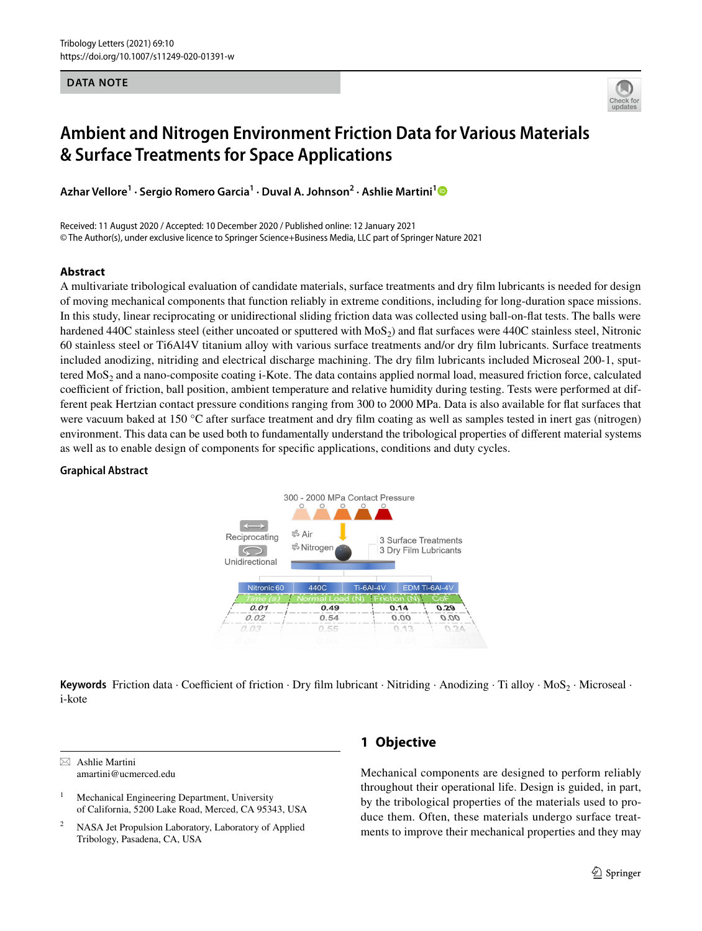**DATA NOTE**



# **Ambient and Nitrogen Environment Friction Data for Various Materials & Surface Treatments for Space Applications**

**Azhar Vellore1 · Sergio Romero Garcia<sup>1</sup> · Duval A. Johnson2 · Ashlie Martini[1](http://orcid.org/0000-0003-2017-6081)**

Received: 11 August 2020 / Accepted: 10 December 2020 / Published online: 12 January 2021 © The Author(s), under exclusive licence to Springer Science+Business Media, LLC part of Springer Nature 2021

#### **Abstract**

A multivariate tribological evaluation of candidate materials, surface treatments and dry flm lubricants is needed for design of moving mechanical components that function reliably in extreme conditions, including for long-duration space missions. In this study, linear reciprocating or unidirectional sliding friction data was collected using ball-on-fat tests. The balls were hardened 440C stainless steel (either uncoated or sputtered with  $MoS<sub>2</sub>$ ) and flat surfaces were 440C stainless steel, Nitronic 60 stainless steel or Ti6Al4V titanium alloy with various surface treatments and/or dry flm lubricants. Surface treatments included anodizing, nitriding and electrical discharge machining. The dry flm lubricants included Microseal 200-1, sputtered  $M$ o $S<sub>2</sub>$  and a nano-composite coating i-Kote. The data contains applied normal load, measured friction force, calculated coefficient of friction, ball position, ambient temperature and relative humidity during testing. Tests were performed at different peak Hertzian contact pressure conditions ranging from 300 to 2000 MPa. Data is also available for fat surfaces that were vacuum baked at 150 °C after surface treatment and dry flm coating as well as samples tested in inert gas (nitrogen) environment. This data can be used both to fundamentally understand the tribological properties of diferent material systems as well as to enable design of components for specifc applications, conditions and duty cycles.

#### **Graphical Abstract**



**Keywords** Friction data · Coefficient of friction · Dry film lubricant · Nitriding · Anodizing · Ti alloy · MoS<sub>2</sub> · Microseal · i-kote

 $\boxtimes$  Ashlie Martini amartini@ucmerced.edu

# **1 Objective**

Mechanical components are designed to perform reliably throughout their operational life. Design is guided, in part, by the tribological properties of the materials used to produce them. Often, these materials undergo surface treatments to improve their mechanical properties and they may

<sup>&</sup>lt;sup>1</sup> Mechanical Engineering Department, University of California, 5200 Lake Road, Merced, CA 95343, USA

NASA Jet Propulsion Laboratory, Laboratory of Applied Tribology, Pasadena, CA, USA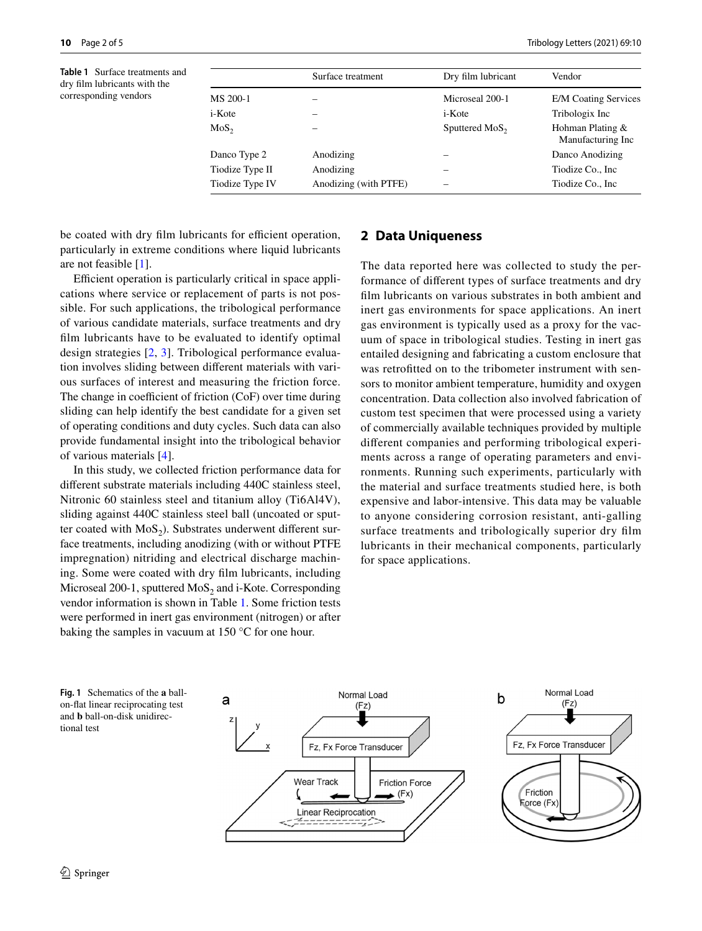<span id="page-1-0"></span>**Table 1** Surface treatments and dry flm lubricants with the corresponding vendors

|                 | Surface treatment     | Dry film lubricant  | Vendor                                |
|-----------------|-----------------------|---------------------|---------------------------------------|
| MS 200-1        |                       | Microseal 200-1     | <b>E/M Coating Services</b>           |
| i-Kote          |                       | i-Kote              | Tribologix Inc                        |
| $MoS_{2}$       |                       | Sputtered $MoS_{2}$ | Hohman Plating &<br>Manufacturing Inc |
| Danco Type 2    | Anodizing             | -                   | Danco Anodizing                       |
| Tiodize Type II | Anodizing             | -                   | Tiodize Co., Inc.                     |
| Tiodize Type IV | Anodizing (with PTFE) |                     | Tiodize Co., Inc.                     |

be coated with dry film lubricants for efficient operation, particularly in extreme conditions where liquid lubricants are not feasible [[1](#page-4-0)].

Efficient operation is particularly critical in space applications where service or replacement of parts is not possible. For such applications, the tribological performance of various candidate materials, surface treatments and dry flm lubricants have to be evaluated to identify optimal design strategies [[2](#page-4-1), [3\]](#page-4-2). Tribological performance evaluation involves sliding between diferent materials with various surfaces of interest and measuring the friction force. The change in coefficient of friction  $(CoF)$  over time during sliding can help identify the best candidate for a given set of operating conditions and duty cycles. Such data can also provide fundamental insight into the tribological behavior of various materials [\[4](#page-4-3)].

In this study, we collected friction performance data for diferent substrate materials including 440C stainless steel, Nitronic 60 stainless steel and titanium alloy (Ti6Al4V), sliding against 440C stainless steel ball (uncoated or sputter coated with  $MoS<sub>2</sub>$ ). Substrates underwent different surface treatments, including anodizing (with or without PTFE impregnation) nitriding and electrical discharge machining. Some were coated with dry flm lubricants, including Microseal 200-1, sputtered  $MoS<sub>2</sub>$  and i-Kote. Corresponding vendor information is shown in Table [1.](#page-1-0) Some friction tests were performed in inert gas environment (nitrogen) or after baking the samples in vacuum at 150 °C for one hour.

## **2 Data Uniqueness**

The data reported here was collected to study the performance of diferent types of surface treatments and dry flm lubricants on various substrates in both ambient and inert gas environments for space applications. An inert gas environment is typically used as a proxy for the vacuum of space in tribological studies. Testing in inert gas entailed designing and fabricating a custom enclosure that was retroftted on to the tribometer instrument with sensors to monitor ambient temperature, humidity and oxygen concentration. Data collection also involved fabrication of custom test specimen that were processed using a variety of commercially available techniques provided by multiple diferent companies and performing tribological experiments across a range of operating parameters and environments. Running such experiments, particularly with the material and surface treatments studied here, is both expensive and labor-intensive. This data may be valuable to anyone considering corrosion resistant, anti-galling surface treatments and tribologically superior dry flm lubricants in their mechanical components, particularly for space applications.

<span id="page-1-1"></span>

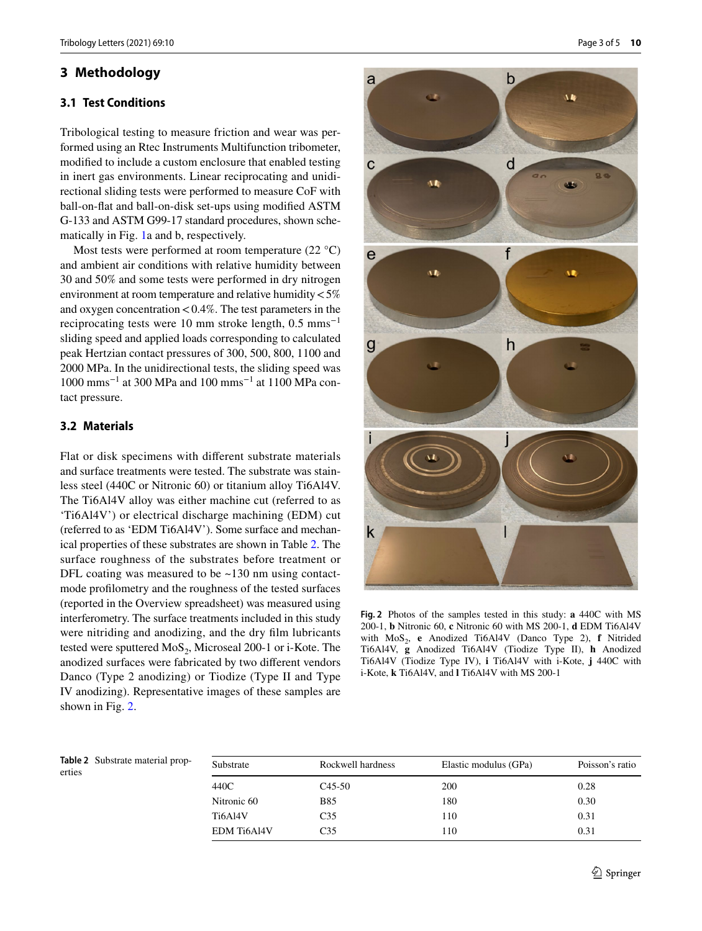## **3 Methodology**

#### **3.1 Test Conditions**

Tribological testing to measure friction and wear was performed using an Rtec Instruments Multifunction tribometer, modifed to include a custom enclosure that enabled testing in inert gas environments. Linear reciprocating and unidirectional sliding tests were performed to measure CoF with ball-on-fat and ball-on-disk set-ups using modifed ASTM G-133 and ASTM G99-17 standard procedures, shown schematically in Fig. [1a](#page-1-1) and b, respectively.

Most tests were performed at room temperature (22 °C) and ambient air conditions with relative humidity between 30 and 50% and some tests were performed in dry nitrogen environment at room temperature and relative humidity<5% and oxygen concentration  $< 0.4\%$ . The test parameters in the reciprocating tests were 10 mm stroke length,  $0.5$  mms<sup>-1</sup> sliding speed and applied loads corresponding to calculated peak Hertzian contact pressures of 300, 500, 800, 1100 and 2000 MPa. In the unidirectional tests, the sliding speed was 1000 mms−1 at 300 MPa and 100 mms−1 at 1100 MPa contact pressure.

#### **3.2 Materials**

Flat or disk specimens with diferent substrate materials and surface treatments were tested. The substrate was stainless steel (440C or Nitronic 60) or titanium alloy Ti6Al4V. The Ti6Al4V alloy was either machine cut (referred to as 'Ti6Al4V') or electrical discharge machining (EDM) cut (referred to as 'EDM Ti6Al4V'). Some surface and mechanical properties of these substrates are shown in Table [2.](#page-2-0) The surface roughness of the substrates before treatment or DFL coating was measured to be ~130 nm using contactmode proflometry and the roughness of the tested surfaces (reported in the Overview spreadsheet) was measured using interferometry. The surface treatments included in this study were nitriding and anodizing, and the dry flm lubricants tested were sputtered  $MoS<sub>2</sub>$ , Microseal 200-1 or i-Kote. The anodized surfaces were fabricated by two diferent vendors Danco (Type 2 anodizing) or Tiodize (Type II and Type IV anodizing). Representative images of these samples are shown in Fig. [2](#page-2-1).



<span id="page-2-1"></span>**Fig. 2** Photos of the samples tested in this study: **a** 440C with MS 200-1, **b** Nitronic 60, **c** Nitronic 60 with MS 200-1, **d** EDM Ti6Al4V with MoS<sub>2</sub>, **e** Anodized Ti6Al4V (Danco Type 2), **f** Nitrided Ti6Al4V, **g** Anodized Ti6Al4V (Tiodize Type II), **h** Anodized Ti6Al4V (Tiodize Type IV), **i** Ti6Al4V with i-Kote, **j** 440C with i-Kote, **k** Ti6Al4V, and **l** Ti6Al4V with MS 200-1

<span id="page-2-0"></span>**Table 2** Substrate material properties

| Substrate   | Rockwell hardness | Elastic modulus (GPa) | Poisson's ratio |
|-------------|-------------------|-----------------------|-----------------|
| 440C        | $C45-50$          | 200                   | 0.28            |
| Nitronic 60 | B85               | 180                   | 0.30            |
| Ti6Al4V     | C <sub>35</sub>   | 110                   | 0.31            |
| EDM Ti6Al4V | C <sub>35</sub>   | 110                   | 0.31            |
|             |                   |                       |                 |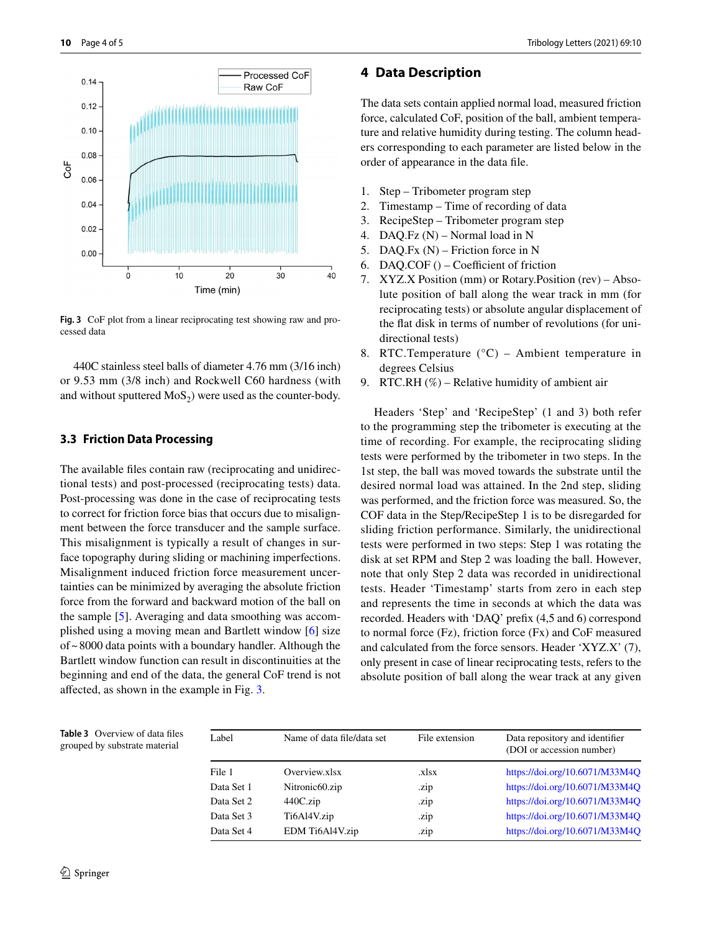

<span id="page-3-0"></span>**Fig. 3** CoF plot from a linear reciprocating test showing raw and processed data

440C stainless steel balls of diameter 4.76 mm (3/16 inch) or 9.53 mm (3/8 inch) and Rockwell C60 hardness (with and without sputtered  $MoS<sub>2</sub>$ ) were used as the counter-body.

#### **3.3 Friction Data Processing**

The available fles contain raw (reciprocating and unidirectional tests) and post-processed (reciprocating tests) data. Post-processing was done in the case of reciprocating tests to correct for friction force bias that occurs due to misalignment between the force transducer and the sample surface. This misalignment is typically a result of changes in surface topography during sliding or machining imperfections. Misalignment induced friction force measurement uncertainties can be minimized by averaging the absolute friction force from the forward and backward motion of the ball on the sample [[5\]](#page-4-4). Averaging and data smoothing was accomplished using a moving mean and Bartlett window [\[6](#page-4-5)] size of~8000 data points with a boundary handler. Although the Bartlett window function can result in discontinuities at the beginning and end of the data, the general CoF trend is not afected, as shown in the example in Fig. [3.](#page-3-0)

#### **4 Data Description**

The data sets contain applied normal load, measured friction force, calculated CoF, position of the ball, ambient temperature and relative humidity during testing. The column headers corresponding to each parameter are listed below in the order of appearance in the data fle.

- 1. Step Tribometer program step
- 2. Timestamp Time of recording of data
- 3. RecipeStep Tribometer program step
- 4. DAQ.Fz (N) Normal load in N
- 5. DAQ.Fx (N) Friction force in N
- 6. DAQ.COF $()$  Coefficient of friction
- 7. XYZ.X Position (mm) or Rotary.Position (rev) Absolute position of ball along the wear track in mm (for reciprocating tests) or absolute angular displacement of the fat disk in terms of number of revolutions (for unidirectional tests)
- 8. RTC.Temperature (°C) Ambient temperature in degrees Celsius
- 9. RTC.RH  $(\%)$  Relative humidity of ambient air

Headers 'Step' and 'RecipeStep' (1 and 3) both refer to the programming step the tribometer is executing at the time of recording. For example, the reciprocating sliding tests were performed by the tribometer in two steps. In the 1st step, the ball was moved towards the substrate until the desired normal load was attained. In the 2nd step, sliding was performed, and the friction force was measured. So, the COF data in the Step/RecipeStep 1 is to be disregarded for sliding friction performance. Similarly, the unidirectional tests were performed in two steps: Step 1 was rotating the disk at set RPM and Step 2 was loading the ball. However, note that only Step 2 data was recorded in unidirectional tests. Header 'Timestamp' starts from zero in each step and represents the time in seconds at which the data was recorded. Headers with 'DAQ' prefx (4,5 and 6) correspond to normal force (Fz), friction force (Fx) and CoF measured and calculated from the force sensors. Header 'XYZ.X' (7), only present in case of linear reciprocating tests, refers to the absolute position of ball along the wear track at any given

<span id="page-3-1"></span>**Table 3** Overview of data fles grouped by substrate material

| Label      | Name of data file/data set | File extension | Data repository and identifier<br>(DOI or accession number) |
|------------|----------------------------|----------------|-------------------------------------------------------------|
| File 1     | Overview.xlsx              | .xlsx          | https://doi.org/10.6071/M33M4Q                              |
| Data Set 1 | Nitronic <sub>60.zip</sub> | .zip           | https://doi.org/10.6071/M33M4Q                              |
| Data Set 2 | $440C$ .zip                | .zip           | https://doi.org/10.6071/M33M4Q                              |
| Data Set 3 | Ti6Al4V.zip                | .zip           | https://doi.org/10.6071/M33M4Q                              |
| Data Set 4 | EDM Ti6Al4V.zip            | .zip           | https://doi.org/10.6071/M33M4O                              |
|            |                            |                |                                                             |